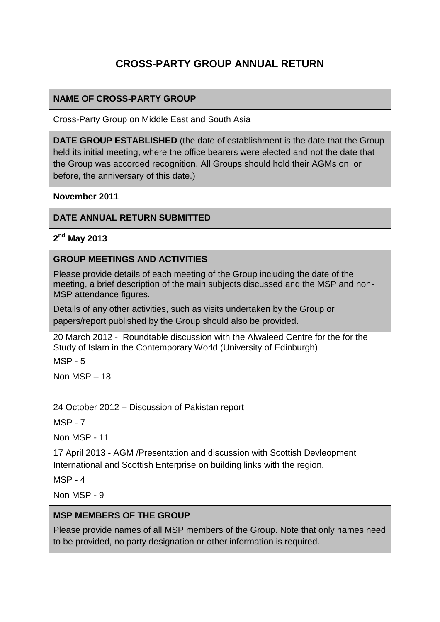# **CROSS-PARTY GROUP ANNUAL RETURN**

### **NAME OF CROSS-PARTY GROUP**

Cross-Party Group on Middle East and South Asia

**DATE GROUP ESTABLISHED** (the date of establishment is the date that the Group held its initial meeting, where the office bearers were elected and not the date that the Group was accorded recognition. All Groups should hold their AGMs on, or before, the anniversary of this date.)

**November 2011**

#### **DATE ANNUAL RETURN SUBMITTED**

**2 nd May 2013**

#### **GROUP MEETINGS AND ACTIVITIES**

Please provide details of each meeting of the Group including the date of the meeting, a brief description of the main subjects discussed and the MSP and non-MSP attendance figures.

Details of any other activities, such as visits undertaken by the Group or papers/report published by the Group should also be provided.

20 March 2012 - Roundtable discussion with the Alwaleed Centre for the for the Study of Islam in the Contemporary World (University of Edinburgh)

MSP - 5

Non MSP – 18

24 October 2012 – Discussion of Pakistan report

MSP - 7

Non MSP - 11

17 April 2013 - AGM /Presentation and discussion with Scottish Devleopment International and Scottish Enterprise on building links with the region.

MSP - 4

Non MSP - 9

#### **MSP MEMBERS OF THE GROUP**

Please provide names of all MSP members of the Group. Note that only names need to be provided, no party designation or other information is required.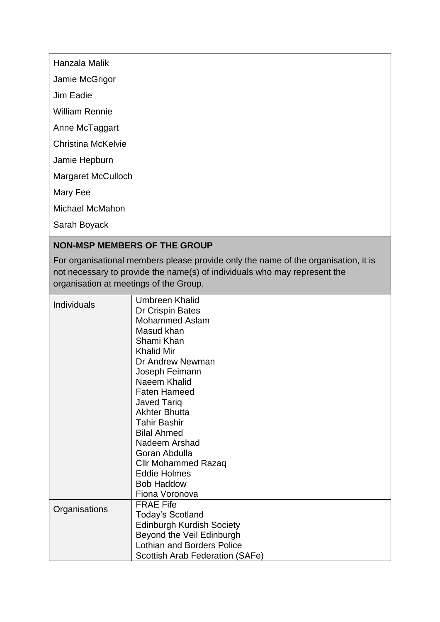Hanzala Malik

Jamie McGrigor

Jim Eadie

William Rennie

Anne McTaggart

Christina McKelvie

Jamie Hepburn

Margaret McCulloch

Mary Fee

Michael McMahon

Sarah Boyack

### **NON-MSP MEMBERS OF THE GROUP**

For organisational members please provide only the name of the organisation, it is not necessary to provide the name(s) of individuals who may represent the organisation at meetings of the Group.

| <b>Individuals</b> | <b>Umbreen Khalid</b>             |
|--------------------|-----------------------------------|
|                    | Dr Crispin Bates                  |
|                    | <b>Mohammed Aslam</b>             |
|                    | Masud khan                        |
|                    | Shami Khan                        |
|                    | <b>Khalid Mir</b>                 |
|                    | Dr Andrew Newman                  |
|                    | Joseph Feimann                    |
|                    | Naeem Khalid                      |
|                    |                                   |
|                    | <b>Faten Hameed</b>               |
|                    | <b>Javed Tariq</b>                |
|                    | <b>Akhter Bhutta</b>              |
|                    | <b>Tahir Bashir</b>               |
|                    | <b>Bilal Ahmed</b>                |
|                    | Nadeem Arshad                     |
|                    | Goran Abdulla                     |
|                    | Cllr Mohammed Razaq               |
|                    | <b>Eddie Holmes</b>               |
|                    | <b>Bob Haddow</b>                 |
|                    | Fiona Voronova                    |
| Organisations      | <b>FRAE Fife</b>                  |
|                    | <b>Today's Scotland</b>           |
|                    | <b>Edinburgh Kurdish Society</b>  |
|                    | Beyond the Veil Edinburgh         |
|                    | <b>Lothian and Borders Police</b> |
|                    | Scottish Arab Federation (SAFe)   |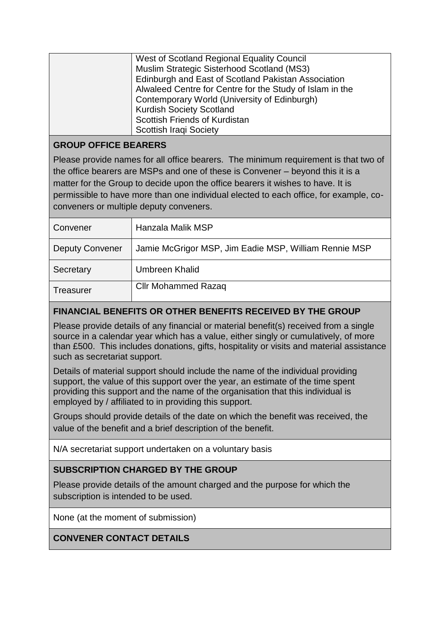| West of Scotland Regional Equality Council               |
|----------------------------------------------------------|
| Muslim Strategic Sisterhood Scotland (MS3)               |
| Edinburgh and East of Scotland Pakistan Association      |
| Alwaleed Centre for Centre for the Study of Islam in the |
| Contemporary World (University of Edinburgh)             |
| <b>Kurdish Society Scotland</b>                          |
| Scottish Friends of Kurdistan                            |
| <b>Scottish Iraqi Society</b>                            |

## **GROUP OFFICE BEARERS**

Please provide names for all office bearers. The minimum requirement is that two of the office bearers are MSPs and one of these is Convener – beyond this it is a matter for the Group to decide upon the office bearers it wishes to have. It is permissible to have more than one individual elected to each office, for example, coconveners or multiple deputy conveners.

| Convener               | Hanzala Malik MSP                                     |
|------------------------|-------------------------------------------------------|
| <b>Deputy Convener</b> | Jamie McGrigor MSP, Jim Eadie MSP, William Rennie MSP |
| Secretary              | <b>Umbreen Khalid</b>                                 |
| Treasurer              | <b>Cllr Mohammed Razaq</b>                            |

## **FINANCIAL BENEFITS OR OTHER BENEFITS RECEIVED BY THE GROUP**

Please provide details of any financial or material benefit(s) received from a single source in a calendar year which has a value, either singly or cumulatively, of more than £500. This includes donations, gifts, hospitality or visits and material assistance such as secretariat support.

Details of material support should include the name of the individual providing support, the value of this support over the year, an estimate of the time spent providing this support and the name of the organisation that this individual is employed by / affiliated to in providing this support.

Groups should provide details of the date on which the benefit was received, the value of the benefit and a brief description of the benefit.

N/A secretariat support undertaken on a voluntary basis

## **SUBSCRIPTION CHARGED BY THE GROUP**

Please provide details of the amount charged and the purpose for which the subscription is intended to be used.

None (at the moment of submission)

**CONVENER CONTACT DETAILS**